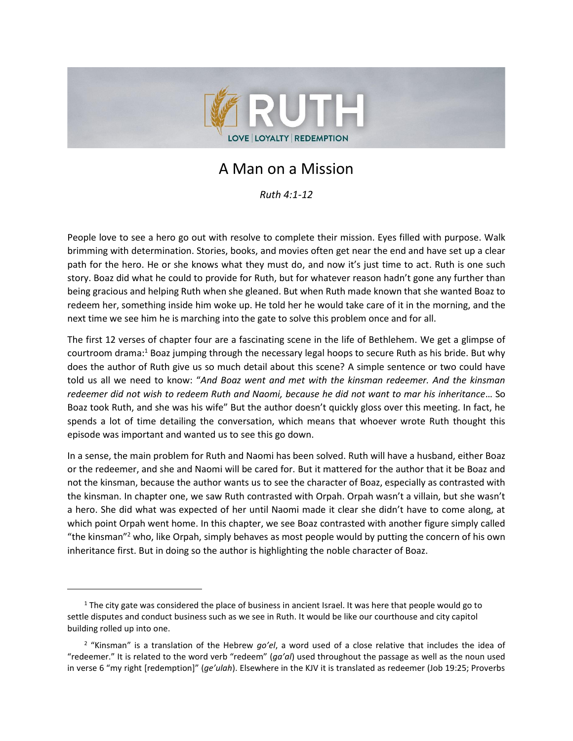

# A Man on a Mission

*Ruth 4:1-12*

People love to see a hero go out with resolve to complete their mission. Eyes filled with purpose. Walk brimming with determination. Stories, books, and movies often get near the end and have set up a clear path for the hero. He or she knows what they must do, and now it's just time to act. Ruth is one such story. Boaz did what he could to provide for Ruth, but for whatever reason hadn't gone any further than being gracious and helping Ruth when she gleaned. But when Ruth made known that she wanted Boaz to redeem her, something inside him woke up. He told her he would take care of it in the morning, and the next time we see him he is marching into the gate to solve this problem once and for all.

The first 12 verses of chapter four are a fascinating scene in the life of Bethlehem. We get a glimpse of courtroom drama:<sup>1</sup> Boaz jumping through the necessary legal hoops to secure Ruth as his bride. But why does the author of Ruth give us so much detail about this scene? A simple sentence or two could have told us all we need to know: "*And Boaz went and met with the kinsman redeemer. And the kinsman redeemer did not wish to redeem Ruth and Naomi, because he did not want to mar his inheritance*… So Boaz took Ruth, and she was his wife" But the author doesn't quickly gloss over this meeting. In fact, he spends a lot of time detailing the conversation, which means that whoever wrote Ruth thought this episode was important and wanted us to see this go down.

In a sense, the main problem for Ruth and Naomi has been solved. Ruth will have a husband, either Boaz or the redeemer, and she and Naomi will be cared for. But it mattered for the author that it be Boaz and not the kinsman, because the author wants us to see the character of Boaz, especially as contrasted with the kinsman. In chapter one, we saw Ruth contrasted with Orpah. Orpah wasn't a villain, but she wasn't a hero. She did what was expected of her until Naomi made it clear she didn't have to come along, at which point Orpah went home. In this chapter, we see Boaz contrasted with another figure simply called "the kinsman"<sup>2</sup> who, like Orpah, simply behaves as most people would by putting the concern of his own inheritance first. But in doing so the author is highlighting the noble character of Boaz.

 $<sup>1</sup>$  The city gate was considered the place of business in ancient Israel. It was here that people would go to</sup> settle disputes and conduct business such as we see in Ruth. It would be like our courthouse and city capitol building rolled up into one.

<sup>2</sup> "Kinsman" is a translation of the Hebrew *go'el*, a word used of a close relative that includes the idea of "redeemer." It is related to the word verb "redeem" (*ga'al*) used throughout the passage as well as the noun used in verse 6 "my right [redemption]" (*ge'ulah*). Elsewhere in the KJV it is translated as redeemer (Job 19:25; Proverbs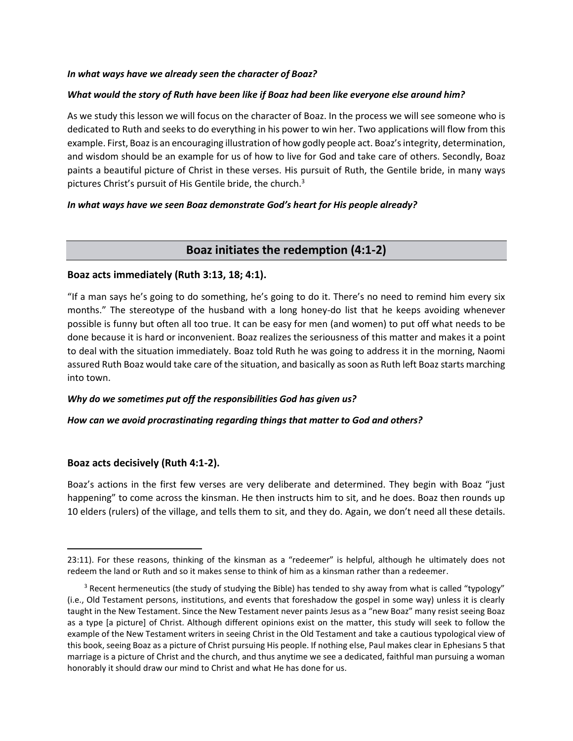#### *In what ways have we already seen the character of Boaz?*

#### *What would the story of Ruth have been like if Boaz had been like everyone else around him?*

As we study this lesson we will focus on the character of Boaz. In the process we will see someone who is dedicated to Ruth and seeks to do everything in his power to win her. Two applications will flow from this example. First, Boaz is an encouraging illustration of how godly people act. Boaz's integrity, determination, and wisdom should be an example for us of how to live for God and take care of others. Secondly, Boaz paints a beautiful picture of Christ in these verses. His pursuit of Ruth, the Gentile bride, in many ways pictures Christ's pursuit of His Gentile bride, the church.<sup>3</sup>

#### *In what ways have we seen Boaz demonstrate God's heart for His people already?*

## **Boaz initiates the redemption (4:1-2)**

#### **Boaz acts immediately (Ruth 3:13, 18; 4:1).**

"If a man says he's going to do something, he's going to do it. There's no need to remind him every six months." The stereotype of the husband with a long honey-do list that he keeps avoiding whenever possible is funny but often all too true. It can be easy for men (and women) to put off what needs to be done because it is hard or inconvenient. Boaz realizes the seriousness of this matter and makes it a point to deal with the situation immediately. Boaz told Ruth he was going to address it in the morning, Naomi assured Ruth Boaz would take care of the situation, and basically as soon as Ruth left Boaz starts marching into town.

#### *Why do we sometimes put off the responsibilities God has given us?*

#### *How can we avoid procrastinating regarding things that matter to God and others?*

#### **Boaz acts decisively (Ruth 4:1-2).**

Boaz's actions in the first few verses are very deliberate and determined. They begin with Boaz "just happening" to come across the kinsman. He then instructs him to sit, and he does. Boaz then rounds up 10 elders (rulers) of the village, and tells them to sit, and they do. Again, we don't need all these details.

<sup>23:11).</sup> For these reasons, thinking of the kinsman as a "redeemer" is helpful, although he ultimately does not redeem the land or Ruth and so it makes sense to think of him as a kinsman rather than a redeemer.

<sup>&</sup>lt;sup>3</sup> Recent hermeneutics (the study of studying the Bible) has tended to shy away from what is called "typology" (i.e., Old Testament persons, institutions, and events that foreshadow the gospel in some way) unless it is clearly taught in the New Testament. Since the New Testament never paints Jesus as a "new Boaz" many resist seeing Boaz as a type [a picture] of Christ. Although different opinions exist on the matter, this study will seek to follow the example of the New Testament writers in seeing Christ in the Old Testament and take a cautious typological view of this book, seeing Boaz as a picture of Christ pursuing His people. If nothing else, Paul makes clear in Ephesians 5 that marriage is a picture of Christ and the church, and thus anytime we see a dedicated, faithful man pursuing a woman honorably it should draw our mind to Christ and what He has done for us.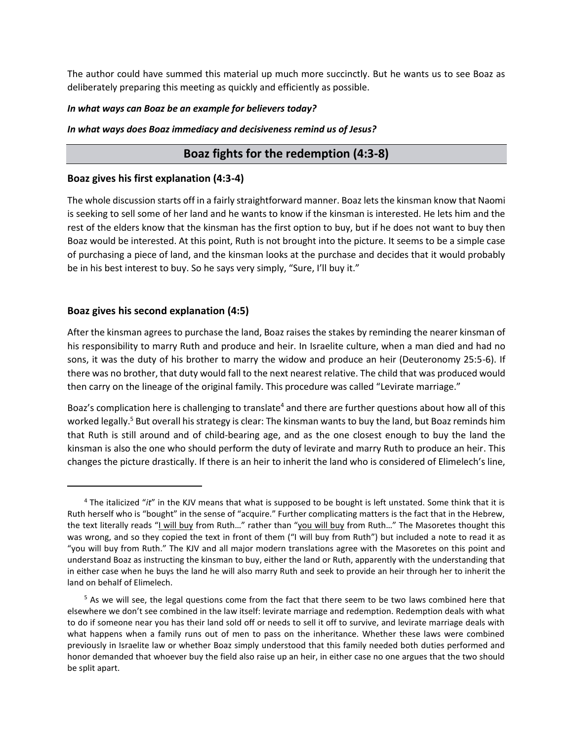The author could have summed this material up much more succinctly. But he wants us to see Boaz as deliberately preparing this meeting as quickly and efficiently as possible.

#### *In what ways can Boaz be an example for believers today?*

#### *In what ways does Boaz immediacy and decisiveness remind us of Jesus?*

## **Boaz fights for the redemption (4:3-8)**

#### **Boaz gives his first explanation (4:3-4)**

The whole discussion starts off in a fairly straightforward manner. Boaz lets the kinsman know that Naomi is seeking to sell some of her land and he wants to know if the kinsman is interested. He lets him and the rest of the elders know that the kinsman has the first option to buy, but if he does not want to buy then Boaz would be interested. At this point, Ruth is not brought into the picture. It seems to be a simple case of purchasing a piece of land, and the kinsman looks at the purchase and decides that it would probably be in his best interest to buy. So he says very simply, "Sure, I'll buy it."

## **Boaz gives his second explanation (4:5)**

After the kinsman agrees to purchase the land, Boaz raises the stakes by reminding the nearer kinsman of his responsibility to marry Ruth and produce and heir. In Israelite culture, when a man died and had no sons, it was the duty of his brother to marry the widow and produce an heir (Deuteronomy 25:5-6). If there was no brother, that duty would fall to the next nearest relative. The child that was produced would then carry on the lineage of the original family. This procedure was called "Levirate marriage."

Boaz's complication here is challenging to translate<sup>4</sup> and there are further questions about how all of this worked legally.<sup>5</sup> But overall his strategy is clear: The kinsman wants to buy the land, but Boaz reminds him that Ruth is still around and of child-bearing age, and as the one closest enough to buy the land the kinsman is also the one who should perform the duty of levirate and marry Ruth to produce an heir. This changes the picture drastically. If there is an heir to inherit the land who is considered of Elimelech's line,

<sup>4</sup> The italicized "*it*" in the KJV means that what is supposed to be bought is left unstated. Some think that it is Ruth herself who is "bought" in the sense of "acquire." Further complicating matters is the fact that in the Hebrew, the text literally reads "I will buy from Ruth..." rather than "you will buy from Ruth..." The Masoretes thought this was wrong, and so they copied the text in front of them ("I will buy from Ruth") but included a note to read it as "you will buy from Ruth." The KJV and all major modern translations agree with the Masoretes on this point and understand Boaz as instructing the kinsman to buy, either the land or Ruth, apparently with the understanding that in either case when he buys the land he will also marry Ruth and seek to provide an heir through her to inherit the land on behalf of Elimelech.

<sup>&</sup>lt;sup>5</sup> As we will see, the legal questions come from the fact that there seem to be two laws combined here that elsewhere we don't see combined in the law itself: levirate marriage and redemption. Redemption deals with what to do if someone near you has their land sold off or needs to sell it off to survive, and levirate marriage deals with what happens when a family runs out of men to pass on the inheritance. Whether these laws were combined previously in Israelite law or whether Boaz simply understood that this family needed both duties performed and honor demanded that whoever buy the field also raise up an heir, in either case no one argues that the two should be split apart.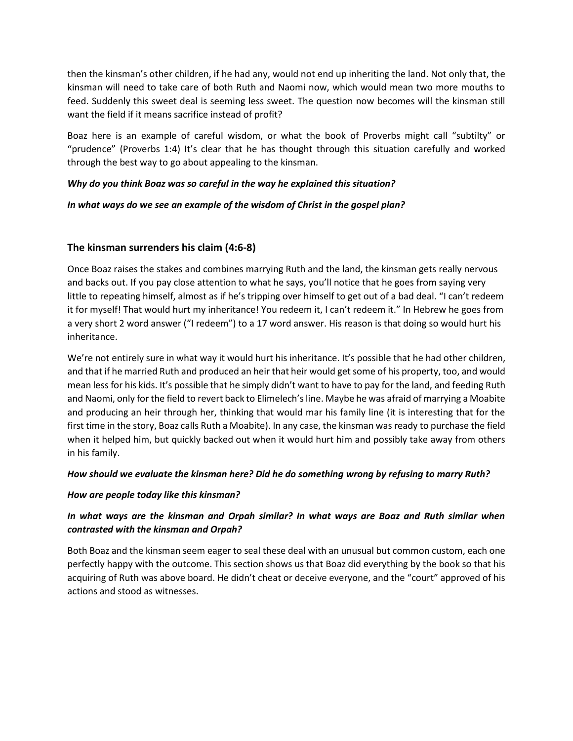then the kinsman's other children, if he had any, would not end up inheriting the land. Not only that, the kinsman will need to take care of both Ruth and Naomi now, which would mean two more mouths to feed. Suddenly this sweet deal is seeming less sweet. The question now becomes will the kinsman still want the field if it means sacrifice instead of profit?

Boaz here is an example of careful wisdom, or what the book of Proverbs might call "subtilty" or "prudence" (Proverbs 1:4) It's clear that he has thought through this situation carefully and worked through the best way to go about appealing to the kinsman.

#### *Why do you think Boaz was so careful in the way he explained this situation?*

#### *In what ways do we see an example of the wisdom of Christ in the gospel plan?*

## **The kinsman surrenders his claim (4:6-8)**

Once Boaz raises the stakes and combines marrying Ruth and the land, the kinsman gets really nervous and backs out. If you pay close attention to what he says, you'll notice that he goes from saying very little to repeating himself, almost as if he's tripping over himself to get out of a bad deal. "I can't redeem it for myself! That would hurt my inheritance! You redeem it, I can't redeem it." In Hebrew he goes from a very short 2 word answer ("I redeem") to a 17 word answer. His reason is that doing so would hurt his inheritance.

We're not entirely sure in what way it would hurt his inheritance. It's possible that he had other children, and that if he married Ruth and produced an heir that heir would get some of his property, too, and would mean less for his kids. It's possible that he simply didn't want to have to pay for the land, and feeding Ruth and Naomi, only for the field to revert back to Elimelech's line. Maybe he was afraid of marrying a Moabite and producing an heir through her, thinking that would mar his family line (it is interesting that for the first time in the story, Boaz calls Ruth a Moabite). In any case, the kinsman was ready to purchase the field when it helped him, but quickly backed out when it would hurt him and possibly take away from others in his family.

#### *How should we evaluate the kinsman here? Did he do something wrong by refusing to marry Ruth?*

#### *How are people today like this kinsman?*

## *In what ways are the kinsman and Orpah similar? In what ways are Boaz and Ruth similar when contrasted with the kinsman and Orpah?*

Both Boaz and the kinsman seem eager to seal these deal with an unusual but common custom, each one perfectly happy with the outcome. This section shows us that Boaz did everything by the book so that his acquiring of Ruth was above board. He didn't cheat or deceive everyone, and the "court" approved of his actions and stood as witnesses.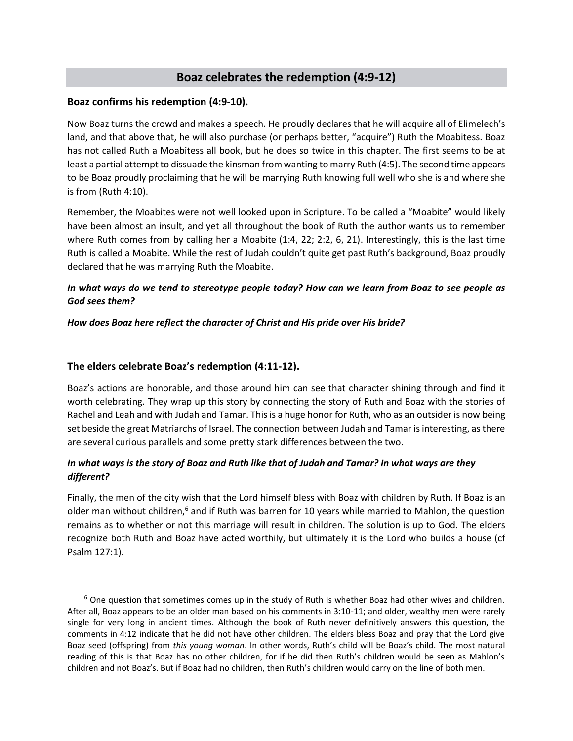## **Boaz celebrates the redemption (4:9-12)**

#### **Boaz confirms his redemption (4:9-10).**

Now Boaz turns the crowd and makes a speech. He proudly declares that he will acquire all of Elimelech's land, and that above that, he will also purchase (or perhaps better, "acquire") Ruth the Moabitess. Boaz has not called Ruth a Moabitess all book, but he does so twice in this chapter. The first seems to be at least a partial attempt to dissuade the kinsman from wanting to marry Ruth (4:5). The second time appears to be Boaz proudly proclaiming that he will be marrying Ruth knowing full well who she is and where she is from (Ruth 4:10).

Remember, the Moabites were not well looked upon in Scripture. To be called a "Moabite" would likely have been almost an insult, and yet all throughout the book of Ruth the author wants us to remember where Ruth comes from by calling her a Moabite (1:4, 22; 2:2, 6, 21). Interestingly, this is the last time Ruth is called a Moabite. While the rest of Judah couldn't quite get past Ruth's background, Boaz proudly declared that he was marrying Ruth the Moabite.

## *In what ways do we tend to stereotype people today? How can we learn from Boaz to see people as God sees them?*

#### *How does Boaz here reflect the character of Christ and His pride over His bride?*

## **The elders celebrate Boaz's redemption (4:11-12).**

Boaz's actions are honorable, and those around him can see that character shining through and find it worth celebrating. They wrap up this story by connecting the story of Ruth and Boaz with the stories of Rachel and Leah and with Judah and Tamar. This is a huge honor for Ruth, who as an outsider is now being set beside the great Matriarchs of Israel. The connection between Judah and Tamar is interesting, as there are several curious parallels and some pretty stark differences between the two.

## *In what ways is the story of Boaz and Ruth like that of Judah and Tamar? In what ways are they different?*

Finally, the men of the city wish that the Lord himself bless with Boaz with children by Ruth. If Boaz is an older man without children,<sup>6</sup> and if Ruth was barren for 10 years while married to Mahlon, the question remains as to whether or not this marriage will result in children. The solution is up to God. The elders recognize both Ruth and Boaz have acted worthily, but ultimately it is the Lord who builds a house (cf Psalm 127:1).

 $6$  One question that sometimes comes up in the study of Ruth is whether Boaz had other wives and children. After all, Boaz appears to be an older man based on his comments in 3:10-11; and older, wealthy men were rarely single for very long in ancient times. Although the book of Ruth never definitively answers this question, the comments in 4:12 indicate that he did not have other children. The elders bless Boaz and pray that the Lord give Boaz seed (offspring) from *this young woman*. In other words, Ruth's child will be Boaz's child. The most natural reading of this is that Boaz has no other children, for if he did then Ruth's children would be seen as Mahlon's children and not Boaz's. But if Boaz had no children, then Ruth's children would carry on the line of both men.